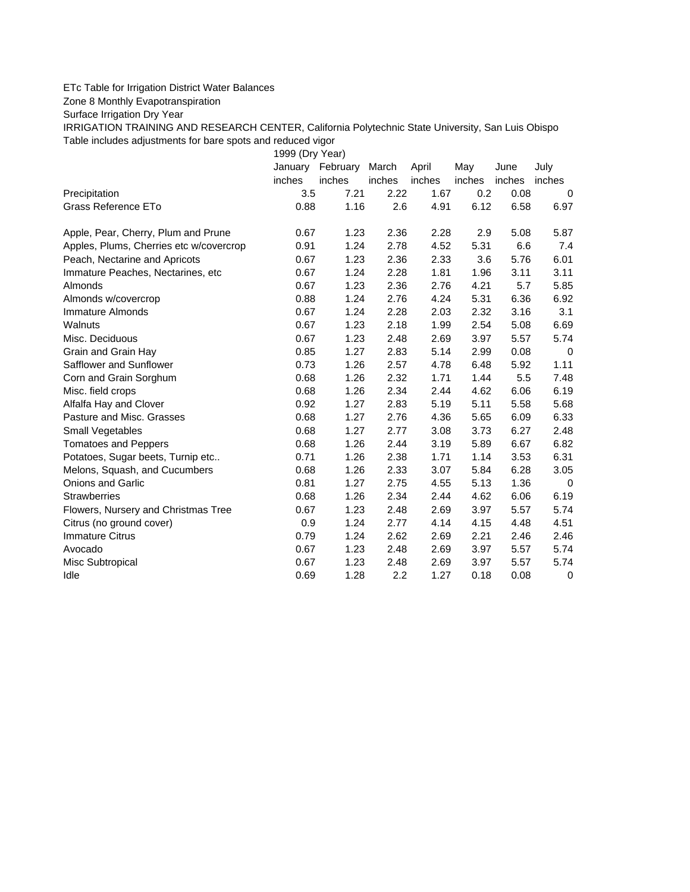## ETc Table for Irrigation District Water Balances

Zone 8 Monthly Evapotranspiration

Surface Irrigation Dry Year

IRRIGATION TRAINING AND RESEARCH CENTER, California Polytechnic State University, San Luis Obispo Table includes adjustments for bare spots and reduced vigor

1999 (Dry Year) January February March April May June July inches inches inches inches inches inches inches Precipitation 3.5 7.21 2.22 1.67 0.2 0.08 0 Grass Reference ETo **0.88** 1.16 2.6 4.91 6.12 6.58 6.97 Apple, Pear, Cherry, Plum and Prune 0.67 1.23 2.36 2.28 2.9 5.08 5.87 Apples, Plums, Cherries etc w/covercrop 0.91 1.24 2.78 4.52 5.31 6.6 7.4 Peach, Nectarine and Apricots 0.67 1.23 2.36 2.33 3.6 5.76 6.01 Immature Peaches, Nectarines, etc 0.67 1.24 2.28 1.81 1.96 3.11 3.11 Almonds 0.67 1.23 2.36 2.76 4.21 5.7 5.85 Almonds w/covercrop 0.88 1.24 2.76 4.24 5.31 6.36 6.92

| Immature Almonds                    | 0.67 | 1.24 | 2.28             | 2.03 | 2.32 | 3.16 | 3.1  |
|-------------------------------------|------|------|------------------|------|------|------|------|
| Walnuts                             | 0.67 | 1.23 | 2.18             | 1.99 | 2.54 | 5.08 | 6.69 |
| Misc. Deciduous                     | 0.67 | 1.23 | 2.48             | 2.69 | 3.97 | 5.57 | 5.74 |
| Grain and Grain Hay                 | 0.85 | 1.27 | 2.83             | 5.14 | 2.99 | 0.08 | 0    |
| Safflower and Sunflower             | 0.73 | 1.26 | 2.57             | 4.78 | 6.48 | 5.92 | 1.11 |
| Corn and Grain Sorghum              | 0.68 | 1.26 | 2.32             | 1.71 | 1.44 | 5.5  | 7.48 |
| Misc. field crops                   | 0.68 | 1.26 | 2.34             | 2.44 | 4.62 | 6.06 | 6.19 |
| Alfalfa Hay and Clover              | 0.92 | 1.27 | 2.83             | 5.19 | 5.11 | 5.58 | 5.68 |
| Pasture and Misc. Grasses           | 0.68 | 1.27 | 2.76             | 4.36 | 5.65 | 6.09 | 6.33 |
| Small Vegetables                    | 0.68 | 1.27 | 2.77             | 3.08 | 3.73 | 6.27 | 2.48 |
| <b>Tomatoes and Peppers</b>         | 0.68 | 1.26 | 2.44             | 3.19 | 5.89 | 6.67 | 6.82 |
| Potatoes, Sugar beets, Turnip etc   | 0.71 | 1.26 | 2.38             | 1.71 | 1.14 | 3.53 | 6.31 |
| Melons, Squash, and Cucumbers       | 0.68 | 1.26 | 2.33             | 3.07 | 5.84 | 6.28 | 3.05 |
| Onions and Garlic                   | 0.81 | 1.27 | 2.75             | 4.55 | 5.13 | 1.36 | 0    |
| Strawberries                        | 0.68 | 1.26 | 2.34             | 2.44 | 4.62 | 6.06 | 6.19 |
| Flowers, Nursery and Christmas Tree | 0.67 | 1.23 | 2.48             | 2.69 | 3.97 | 5.57 | 5.74 |
| Citrus (no ground cover)            | 0.9  | 1.24 | 2.77             | 4.14 | 4.15 | 4.48 | 4.51 |
| <b>Immature Citrus</b>              | 0.79 | 1.24 | 2.62             | 2.69 | 2.21 | 2.46 | 2.46 |
| Avocado                             | 0.67 | 1.23 | 2.48             | 2.69 | 3.97 | 5.57 | 5.74 |
| Misc Subtropical                    | 0.67 | 1.23 | 2.48             | 2.69 | 3.97 | 5.57 | 5.74 |
| Idle                                | 0.69 | 1.28 | $2.2\phantom{0}$ | 1.27 | 0.18 | 0.08 | 0    |